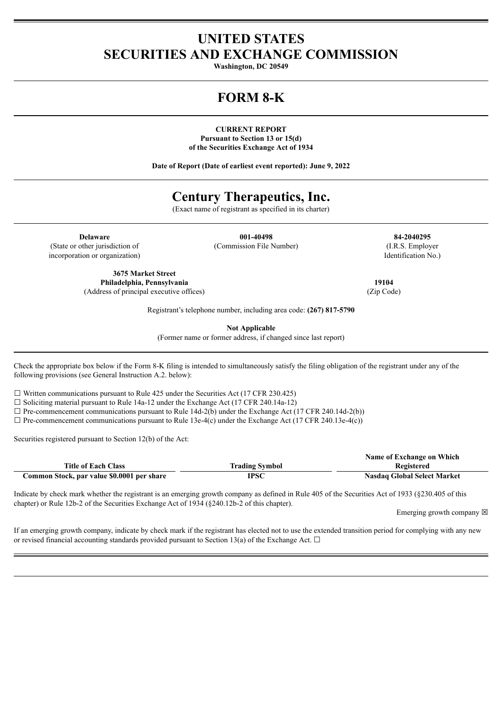### **UNITED STATES SECURITIES AND EXCHANGE COMMISSION**

**Washington, DC 20549**

## **FORM 8-K**

**CURRENT REPORT Pursuant to Section 13 or 15(d) of the Securities Exchange Act of 1934**

**Date of Report (Date of earliest event reported): June 9, 2022**

# **Century Therapeutics, Inc.**

(Exact name of registrant as specified in its charter)

(State or other jurisdiction of incorporation or organization)

**Delaware 001-40498 84-2040295** (Commission File Number) (I.R.S. Employer

Identification No.)

**3675 Market Street Philadelphia, Pennsylvania 19104** (Address of principal executive offices) (Zip Code)

Registrant's telephone number, including area code: **(267) 817-5790**

**Not Applicable**

(Former name or former address, if changed since last report)

Check the appropriate box below if the Form 8-K filing is intended to simultaneously satisfy the filing obligation of the registrant under any of the following provisions (see General Instruction A.2. below):

 $\Box$  Written communications pursuant to Rule 425 under the Securities Act (17 CFR 230.425)

 $\Box$  Soliciting material pursuant to Rule 14a-12 under the Exchange Act (17 CFR 240.14a-12)

☐ Pre-commencement communications pursuant to Rule 14d-2(b) under the Exchange Act (17 CFR 240.14d-2(b))

 $\Box$  Pre-commencement communications pursuant to Rule 13e-4(c) under the Exchange Act (17 CFR 240.13e-4(c))

Securities registered pursuant to Section 12(b) of the Act:

|                                            |                       | Name of Exchange on Which          |
|--------------------------------------------|-----------------------|------------------------------------|
| <b>Title of Each Class</b>                 | <b>Trading Symbol</b> | Registered                         |
| Common Stock, par value \$0.0001 per share | <b>IPSC</b>           | <b>Nasdaq Global Select Market</b> |

Indicate by check mark whether the registrant is an emerging growth company as defined in Rule 405 of the Securities Act of 1933 (§230.405 of this chapter) or Rule 12b-2 of the Securities Exchange Act of 1934 (§240.12b-2 of this chapter).

Emerging growth company  $\boxtimes$ 

If an emerging growth company, indicate by check mark if the registrant has elected not to use the extended transition period for complying with any new or revised financial accounting standards provided pursuant to Section 13(a) of the Exchange Act.  $\Box$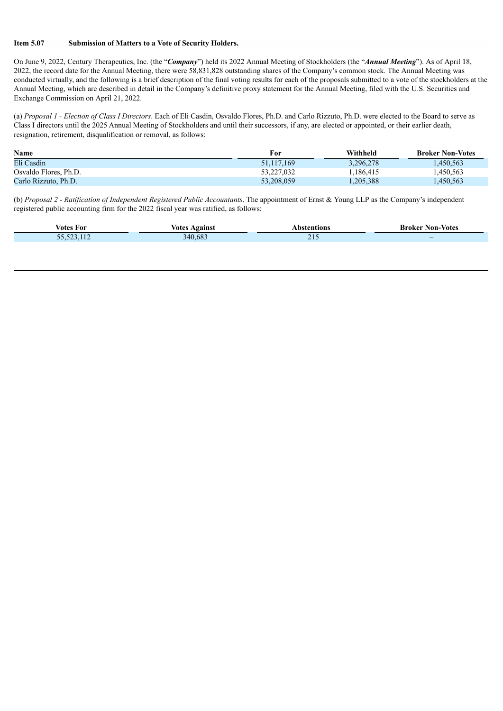#### **Item 5.07 Submission of Matters to a Vote of Security Holders.**

On June 9, 2022, Century Therapeutics, Inc. (the "*Company*") held its 2022 Annual Meeting of Stockholders (the "*Annual Meeting*"). As of April 18, 2022, the record date for the Annual Meeting, there were 58,831,828 outstanding shares of the Company's common stock. The Annual Meeting was conducted virtually, and the following is a brief description of the final voting results for each of the proposals submitted to a vote of the stockholders at the Annual Meeting, which are described in detail in the Company's definitive proxy statement for the Annual Meeting, filed with the U.S. Securities and Exchange Commission on April 21, 2022.

(a) *Proposal 1 - Election of Class I Directors*. Each of Eli Casdin, Osvaldo Flores, Ph.D. and Carlo Rizzuto, Ph.D. were elected to the Board to serve as Class I directors until the 2025 Annual Meeting of Stockholders and until their successors, if any, are elected or appointed, or their earlier death, resignation, retirement, disqualification or removal, as follows:

| Name                  | For        | Withheld  | <b>Broker Non-Votes</b> |
|-----------------------|------------|-----------|-------------------------|
| Eli Casdin            | 51.117.169 | 3,296,278 | .450,563                |
| Osvaldo Flores, Ph.D. | 53.227.032 | .186.415  | .450,563                |
| Carlo Rizzuto, Ph.D.  | 53,208,059 | .205,388  | .450.563                |

(b) *Proposal 2 - Ratification of Independent Registered Public Accountants*. The appointment of Ernst & Young LLP as the Company's independent registered public accounting firm for the 2022 fiscal year was ratified, as follows:

| Votes For                      | again)<br>votes            |   | Non-Votes<br>ake. |
|--------------------------------|----------------------------|---|-------------------|
| $\sim$<br>$F = F \cdot T$<br>. | $\epsilon$ $\alpha$<br>:40 | . | $-$               |
|                                |                            |   |                   |